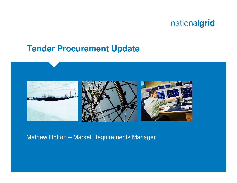#### **Tender Procurement Update**



#### Mathew Hofton – Market Requirements Manager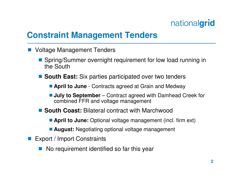## **Constraint Management Tenders**

- **Service Service**  Voltage Management Tenders
	- Spring/Summer overnight requirement for low load running in the South the South
	- **South East:** Six parties participated over two tenders
		- **April to June**  Contracts agreed at Grain and Medway
		- **July to September** Contract agreed with Damhead Creek for combined FFR and voltage management
	- **South Coast: Bilateral contract with Marchwood** 
		- **April to June:** Optional voltage management (incl. firm ext)
		- **August:** Negotiating optional voltage management
- **Service Service**  Export / Import Constraints
	- **Service Service** No requirement identified so far this year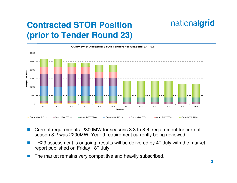# **Contracted STOR Position (prior to Tender Round 23)**



**Overview of Accepted STOR Tenders for Seasons 8.1 - 9.6**

- $\mathcal{O}(\mathbb{R}^d)$  Current requirements: 2300MW for seasons 8.3 to 8.6, requirement for current season 8.2 was 2200MW. Year 9 requirement currently being reviewed.
- Π TR23 assessment is ongoing, results will be delivered by 4th July with the market report published on Friday 18<sup>th</sup> July.
- Π The market remains very competitive and heavily subscribed.

nationalgrid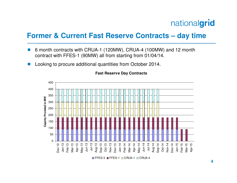#### **Former & Current Fast Reserve Contracts – day time**

- Π 6 month contracts with CRUA-1 (120MW), CRUA-4 (100MW) and 12 month contract with FFES-1 (90MW) all from starting from 01/04/14.
- Π Looking to procure additional quantities from October 2014.



**Fast Reserve Day Contracts**

FFES-3 <mark>■</mark>FFES-1 <mark>□ CRUA-1 □ CRUA-4</mark>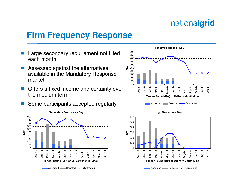### **Firm Frequency Response**

- Large secondary requirement not filled each month
- M. Assessed against the alternatives available in the Mandatory Response market
- Offers a fixed income and certainty over the medium term
- Some participants accepted regularly M.







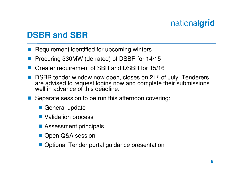# **DSBR and SBR**

- **Service Service** Requirement identified for upcoming winters
- **Contract Contract Contract Contract Contract Contract Contract Contract Contract Contract Contract Contract Co** Procuring 330MW (de-rated) of DSBR for 14/15
- Greater requirement of SBR and DSBR for 15/16
- **Service Service** ■ DSBR tender window now open, closes on 21<sup>st</sup> of July. Tenderers are advised to request logins now and complete their submissions well in advance of this deadline.
- Separate session to be run this afternoon covering:
	- General update
	- **Service Service** Validation process
	- **Assessment principals**
	- Open Q&A session
	- **Optional Tender portal guidance presentation**